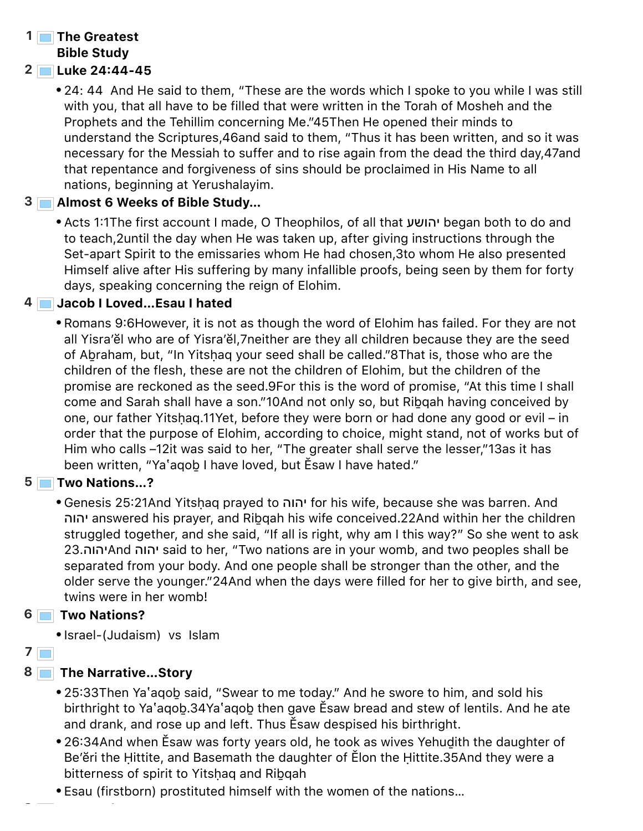#### 1 1 The Greatest Bible Study

### 2 Luke 24:44-45

24: 44 And He said to them, "These are the words which I spoke to you while I was still with you, that all have to be filled that were written in the Torah of Mosheh and the Prophets and the Tehillim concerning Me."45Then He opened their minds to understand the Scriptures,46and said to them, "Thus it has been written, and so it was necessary for the Messiah to suffer and to rise again from the dead the third day,47and that repentance and forgiveness of sins should be proclaimed in His Name to all nations, beginning at Yerushalayim.

### 3 Almost 6 Weeks of Bible Study…

Acts 1:1The first account I made, O Theophilos, of all that עשוהי began both to do and to teach,2until the day when He was taken up, after giving instructions through the Set-apart Spirit to the emissaries whom He had chosen,3to whom He also presented Himself alive after His suffering by many infallible proofs, being seen by them for forty days, speaking concerning the reign of Elohim.

### 4 Jacob I Loved... Esau I hated

Romans 9:6However, it is not as though the word of Elohim has failed. For they are not all Yisra'ĕl who are of Yisra'ĕl,7neither are they all children because they are the seed of Aḇraham, but, "In Yitsḥaq your seed shall be called."8That is, those who are the children of the flesh, these are not the children of Elohim, but the children of the promise are reckoned as the seed.9For this is the word of promise, "At this time I shall come and Sarah shall have a son."10And not only so, but Riḇqah having conceived by one, our father Yitsḥaq.11Yet, before they were born or had done any good or evil – in order that the purpose of Elohim, according to choice, might stand, not of works but of Him who calls –12it was said to her, "The greater shall serve the lesser,"13as it has been written, "Ya'aqoḇ I have loved, but Ěsaw I have hated."

## 5 Two Nations...?

Genesis 25:21And Yitsḥaq prayed to הוהי for his wife, because she was barren. And הוהי answered his prayer, and Riḇqah his wife conceived.22And within her the children struggled together, and she said, "If all is right, why am I this way?" So she went to ask .23 And הוהי הוהי said to her, "Two nations are in your womb, and two peoples shall be separated from your body. And one people shall be stronger than the other, and the older serve the younger."24And when the days were filled for her to give birth, and see, twins were in her womb!

### 6 Two Nations?

- Israel-(Judaism) vs Islam
- $7\Box$

## 8 **■** The Narrative…Story

- 25:33Then Ya'aqoḇ said, "Swear to me today." And he swore to him, and sold his birthright to Ya'aqoḇ.34Ya'aqoḇ then gave Ěsaw bread and stew of lentils. And he ate and drank, and rose up and left. Thus Ěsaw despised his birthright.
- 26:34And when Ěsaw was forty years old, he took as wives Yehuḏith the daughter of Be'ĕri the Ḥittite, and Basemath the daughter of Ělon the Ḥittite.35And they were a bitterness of spirit to Yitsḥaq and Riḇqah
- Esau (firstborn) prostituted himself with the women of the nations…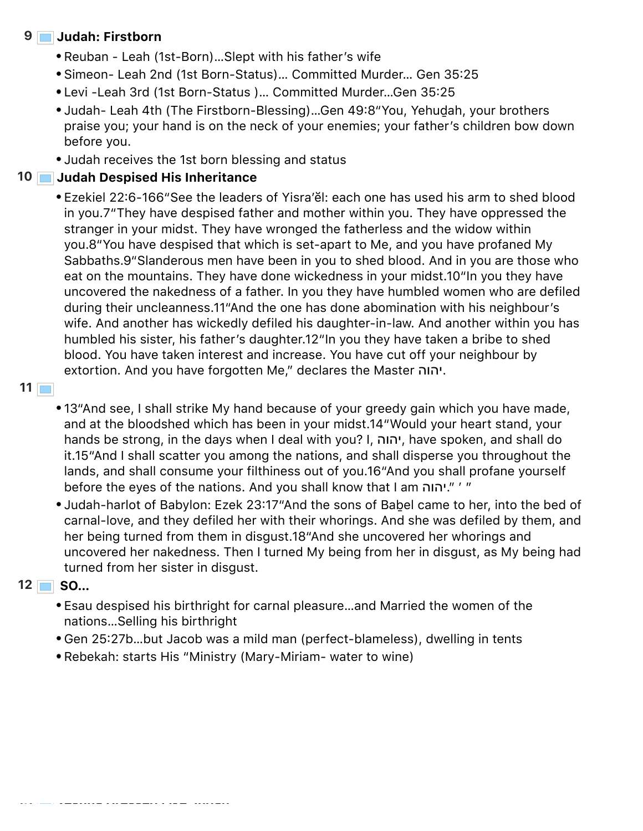### 9 Judah: Firstborn

- Reuban Leah (1st-Born)…Slept with his father's wife
- Simeon- Leah 2nd (1st Born-Status)… Committed Murder… Gen 35:25
- Levi -Leah 3rd (1st Born-Status )… Committed Murder…Gen 35:25
- Judah- Leah 4th (The Firstborn-Blessing)…Gen 49:8"You, Yehuḏah, your brothers praise you; your hand is on the neck of your enemies; your father's children bow down before you.
- Judah receives the 1st born blessing and status

### 10 Judah Despised His Inheritance

- Ezekiel 22:6-166"See the leaders of Yisra'ĕl: each one has used his arm to shed blood in you.7"They have despised father and mother within you. They have oppressed the stranger in your midst. They have wronged the fatherless and the widow within you.8"You have despised that which is set-apart to Me, and you have profaned My Sabbaths.9"Slanderous men have been in you to shed blood. And in you are those who eat on the mountains. They have done wickedness in your midst.10"In you they have uncovered the nakedness of a father. In you they have humbled women who are defiled during their uncleanness.11"And the one has done abomination with his neighbour's wife. And another has wickedly defiled his daughter-in-law. And another within you has humbled his sister, his father's daughter.12"In you they have taken a bribe to shed blood. You have taken interest and increase. You have cut off your neighbour by extortion. And you have forgotten Me," declares the Master ..
- $11$
- 13"And see, I shall strike My hand because of your greedy gain which you have made, and at the bloodshed which has been in your midst.14"Would your heart stand, your hands be strong, in the days when I deal with you? I, יהוה, have spoken, and shall do it.15"And I shall scatter you among the nations, and shall disperse you throughout the lands, and shall consume your filthiness out of you.16"And you shall profane yourself before the eyes of the nations. And you shall know that I am הוהי ." ' "
- Judah-harlot of Babylon: Ezek 23:17"And the sons of Babel came to her, into the bed of carnal-love, and they defiled her with their whorings. And she was defiled by them, and her being turned from them in disgust.18"And she uncovered her whorings and uncovered her nakedness. Then I turned My being from her in disgust, as My being had turned from her sister in disgust.

#### 12 **■ SO…**

- Esau despised his birthright for carnal pleasure…and Married the women of the nations…Selling his birthright
- Gen 25:27b…but Jacob was a mild man (perfect-blameless), dwelling in tents
- Rebekah: starts His "Ministry (Mary-Miriam- water to wine)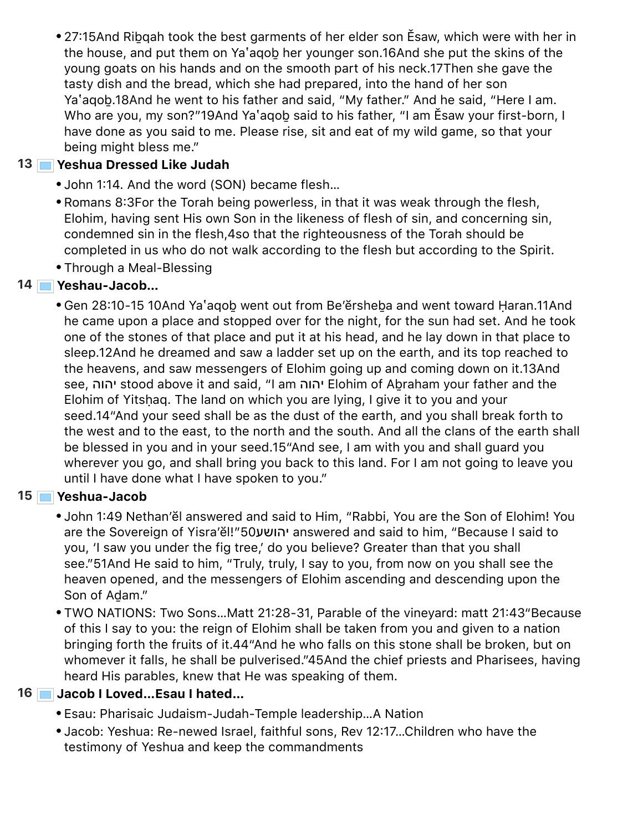27:15And Riḇqah took the best garments of her elder son Ěsaw, which were with her in the house, and put them on Ya'aqoḇ her younger son.16And she put the skins of the young goats on his hands and on the smooth part of his neck.17Then she gave the tasty dish and the bread, which she had prepared, into the hand of her son Ya'aqoḇ.18And he went to his father and said, "My father." And he said, "Here I am. Who are you, my son?"19And Ya'aqoḇ said to his father, "I am Ěsaw your first-born, I have done as you said to me. Please rise, sit and eat of my wild game, so that your being might bless me."

### 13 Yeshua Dressed Like Judah

- John 1:14. And the word (SON) became flesh…
- Romans 8:3For the Torah being powerless, in that it was weak through the flesh, Elohim, having sent His own Son in the likeness of flesh of sin, and concerning sin, condemned sin in the flesh,4so that the righteousness of the Torah should be completed in us who do not walk according to the flesh but according to the Spirit.
- Through a Meal-Blessing

# 14 Yeshau-Jacob...

Gen 28:10-15 10And Ya'aqoḇ went out from Be'ĕrsheḇa and went toward Ḥaran.11And he came upon a place and stopped over for the night, for the sun had set. And he took one of the stones of that place and put it at his head, and he lay down in that place to sleep.12And he dreamed and saw a ladder set up on the earth, and its top reached to the heavens, and saw messengers of Elohim going up and coming down on it.13And see, הוהי stood above it and said, "I am הוהי Elohim of Aḇraham your father and the Elohim of Yitshag. The land on which you are lying, I give it to you and your seed.14"And your seed shall be as the dust of the earth, and you shall break forth to the west and to the east, to the north and the south. And all the clans of the earth shall be blessed in you and in your seed.15"And see, I am with you and shall guard you wherever you go, and shall bring you back to this land. For I am not going to leave you until I have done what I have spoken to you."

## 15 Yeshua-Jacob

- John 1:49 Nethan'ĕl answered and said to Him, "Rabbi, You are the Son of Elohim! You are the Sovereign of Yisra'ĕl!"50 עשוהי answered and said to him, "Because I said to you, 'I saw you under the fig tree,' do you believe? Greater than that you shall see."51And He said to him, "Truly, truly, I say to you, from now on you shall see the heaven opened, and the messengers of Elohim ascending and descending upon the Son of Aḏam."
- TWO NATIONS: Two Sons…Matt 21:28-31, Parable of the vineyard: matt 21:43"Because of this I say to you: the reign of Elohim shall be taken from you and given to a nation bringing forth the fruits of it.44"And he who falls on this stone shall be broken, but on whomever it falls, he shall be pulverised."45And the chief priests and Pharisees, having heard His parables, knew that He was speaking of them.

# 16 Jacob I Loved... Esau I hated...

- Esau: Pharisaic Judaism-Judah-Temple leadership…A Nation
- Jacob: Yeshua: Re-newed Israel, faithful sons, Rev 12:17…Children who have the testimony of Yeshua and keep the commandments